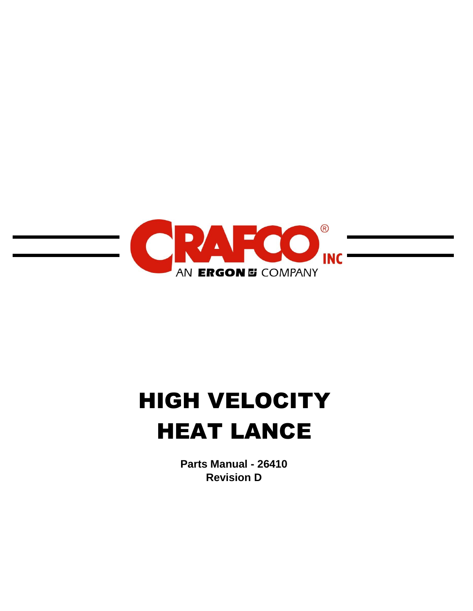

# HIGH VELOCITY HEAT LANCE

**Parts Manual - 26410 Revision D**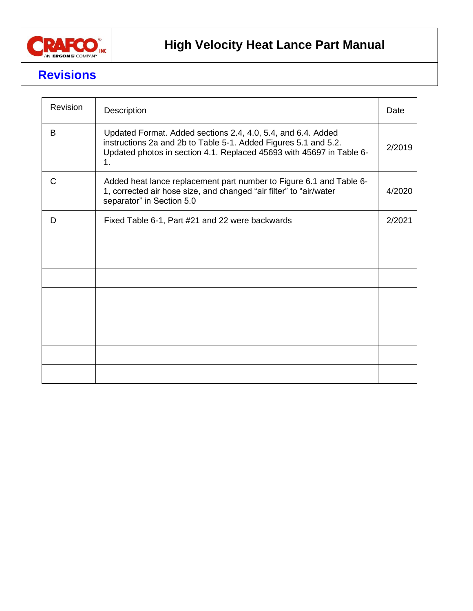

### **Revisions**

| Revision | Description                                                                                                                                                                                                   |        |  |  |  |  |
|----------|---------------------------------------------------------------------------------------------------------------------------------------------------------------------------------------------------------------|--------|--|--|--|--|
| B        | Updated Format. Added sections 2.4, 4.0, 5.4, and 6.4. Added<br>instructions 2a and 2b to Table 5-1. Added Figures 5.1 and 5.2.<br>Updated photos in section 4.1. Replaced 45693 with 45697 in Table 6-<br>1. | 2/2019 |  |  |  |  |
| C        | Added heat lance replacement part number to Figure 6.1 and Table 6-<br>1, corrected air hose size, and changed "air filter" to "air/water<br>separator" in Section 5.0                                        | 4/2020 |  |  |  |  |
| D        | Fixed Table 6-1, Part #21 and 22 were backwards                                                                                                                                                               | 2/2021 |  |  |  |  |
|          |                                                                                                                                                                                                               |        |  |  |  |  |
|          |                                                                                                                                                                                                               |        |  |  |  |  |
|          |                                                                                                                                                                                                               |        |  |  |  |  |
|          |                                                                                                                                                                                                               |        |  |  |  |  |
|          |                                                                                                                                                                                                               |        |  |  |  |  |
|          |                                                                                                                                                                                                               |        |  |  |  |  |
|          |                                                                                                                                                                                                               |        |  |  |  |  |
|          |                                                                                                                                                                                                               |        |  |  |  |  |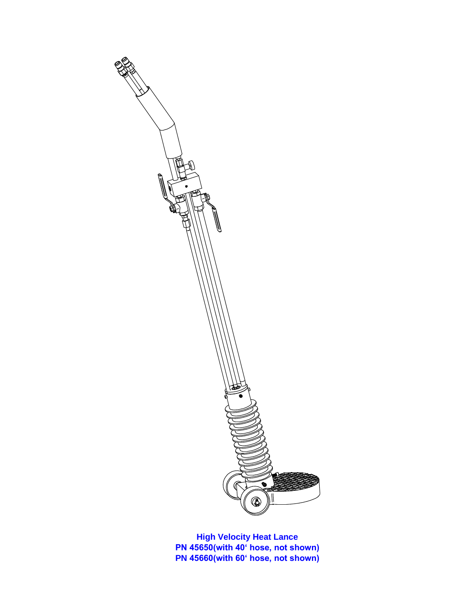

**High Velocity Heat Lance PN 45650(with 40' hose, not shown) PN 45660(with 60' hose, not shown)**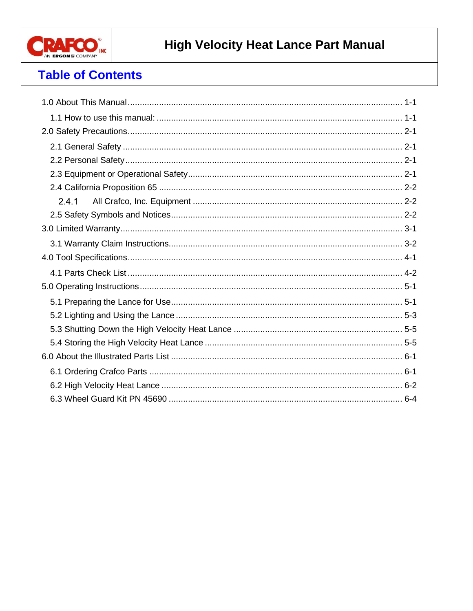

### **Table of Contents**

| 2.4.1 |
|-------|
|       |
|       |
|       |
|       |
|       |
|       |
|       |
|       |
|       |
|       |
|       |
|       |
|       |
|       |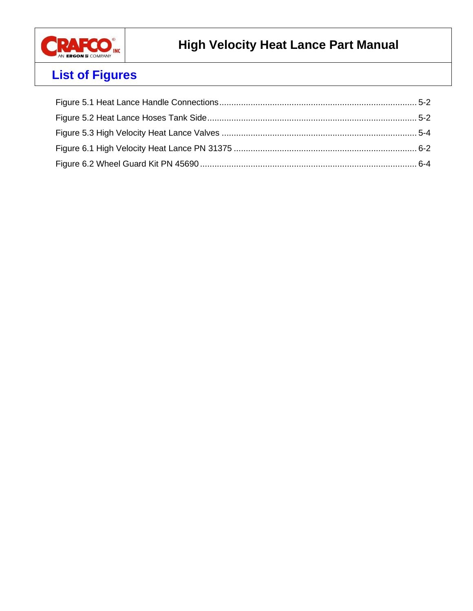

# **List of Figures**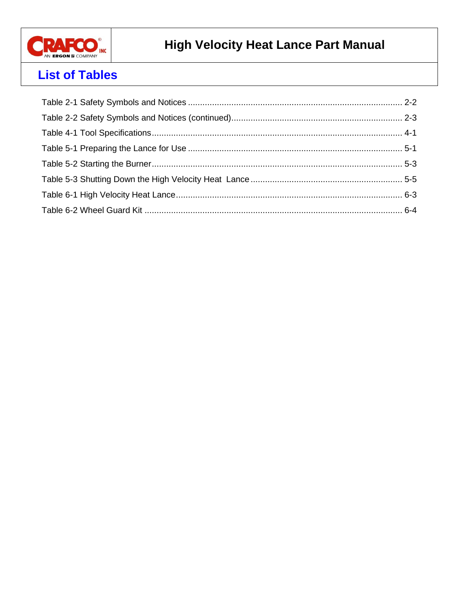

### **List of Tables**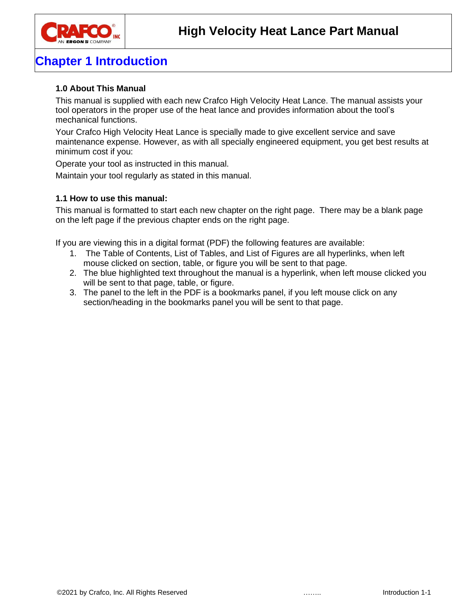

### **Chapter 1 Introduction**

#### <span id="page-6-0"></span>**1.0 About This Manual**

This manual is supplied with each new Crafco High Velocity Heat Lance. The manual assists your tool operators in the proper use of the heat lance and provides information about the tool's mechanical functions.

Your Crafco High Velocity Heat Lance is specially made to give excellent service and save maintenance expense. However, as with all specially engineered equipment, you get best results at minimum cost if you:

Operate your tool as instructed in this manual.

Maintain your tool regularly as stated in this manual.

#### <span id="page-6-1"></span>**1.1 How to use this manual:**

This manual is formatted to start each new chapter on the right page. There may be a blank page on the left page if the previous chapter ends on the right page.

If you are viewing this in a digital format (PDF) the following features are available:

- 1. The Table of Contents, List of Tables, and List of Figures are all hyperlinks, when left mouse clicked on section, table, or figure you will be sent to that page.
- 2. The blue highlighted text throughout the manual is a hyperlink, when left mouse clicked you will be sent to that page, table, or figure.
- 3. The panel to the left in the PDF is a bookmarks panel, if you left mouse click on any section/heading in the bookmarks panel you will be sent to that page.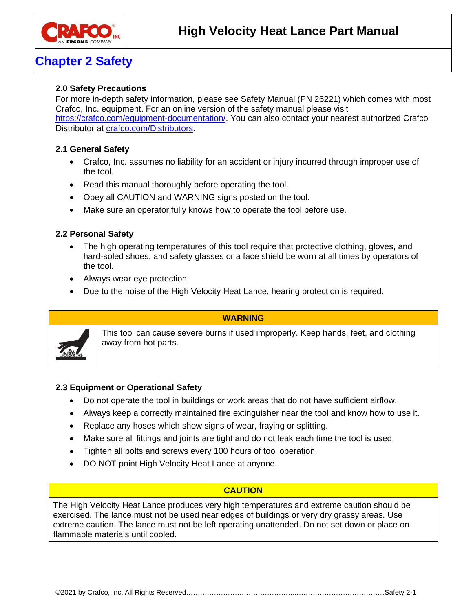

### **Chapter 2 Safety**

#### <span id="page-8-0"></span>**2.0 Safety Precautions**

For more in-depth safety information, please see Safety Manual (PN 26221) which comes with most Crafco, Inc. equipment. For an online version of the safety manual please visit [https://crafco.com/equipment-documentation/.](https://crafco.com/equipment-documentation/) You can also contact your nearest authorized Crafco Distributor at [crafco.com/Distributors.](http://www.crafco.com/Distributors%20&%20Centers/Distributors%20and%20Centers.htm)

### <span id="page-8-1"></span>**2.1 General Safety**

- Crafco, Inc. assumes no liability for an accident or injury incurred through improper use of the tool.
- Read this manual thoroughly before operating the tool.
- Obey all CAUTION and WARNING signs posted on the tool.
- Make sure an operator fully knows how to operate the tool before use.

### <span id="page-8-2"></span>**2.2 Personal Safety**

- The high operating temperatures of this tool require that protective clothing, gloves, and hard-soled shoes, and safety glasses or a face shield be worn at all times by operators of the tool.
- Always wear eye protection
- Due to the noise of the High Velocity Heat Lance, hearing protection is required.

### **WARNING**

This tool can cause severe burns if used improperly. Keep hands, feet, and clothing away from hot parts.

#### <span id="page-8-3"></span>**2.3 Equipment or Operational Safety**

- Do not operate the tool in buildings or work areas that do not have sufficient airflow.
- Always keep a correctly maintained fire extinguisher near the tool and know how to use it.
- Replace any hoses which show signs of wear, fraying or splitting.
- Make sure all fittings and joints are tight and do not leak each time the tool is used.
- Tighten all bolts and screws every 100 hours of tool operation.
- DO NOT point High Velocity Heat Lance at anyone.

### **CAUTION**

The High Velocity Heat Lance produces very high temperatures and extreme caution should be exercised. The lance must not be used near edges of buildings or very dry grassy areas. Use extreme caution. The lance must not be left operating unattended. Do not set down or place on flammable materials until cooled.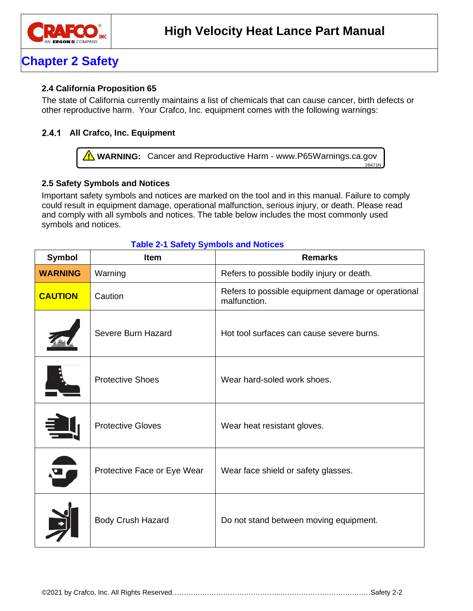

### **Chapter 2 Safety**

### <span id="page-9-0"></span>**2.4 California Proposition 65**

The state of California currently maintains a list of chemicals that can cause cancer, birth defects or other reproductive harm. Your Crafco, Inc. equipment comes with the following warnings:

### <span id="page-9-1"></span>**All Crafco, Inc. Equipment**

**A** WARNING: Cancer and Reproductive Harm - www.P65Warnings.ca.gov  $26471N$ 

### <span id="page-9-2"></span>**2.5 Safety Symbols and Notices**

Important safety symbols and notices are marked on the tool and in this manual. Failure to comply could result in equipment damage, operational malfunction, serious injury, or death. Please read and comply with all symbols and notices. The table below includes the most commonly used symbols and notices.

| <b>Symbol</b>  | <b>Item</b>                 | <b>Remarks</b>                                                     |
|----------------|-----------------------------|--------------------------------------------------------------------|
| <b>WARNING</b> | Warning                     | Refers to possible bodily injury or death.                         |
| <b>CAUTION</b> | Caution                     | Refers to possible equipment damage or operational<br>malfunction. |
|                | Severe Burn Hazard          | Hot tool surfaces can cause severe burns.                          |
|                | <b>Protective Shoes</b>     | Wear hard-soled work shoes.                                        |
|                | <b>Protective Gloves</b>    | Wear heat resistant gloves.                                        |
| $\bullet$      | Protective Face or Eye Wear | Wear face shield or safety glasses.                                |
|                | <b>Body Crush Hazard</b>    | Do not stand between moving equipment.                             |

#### <span id="page-9-3"></span>**Table 2-1 Safety Symbols and Notices**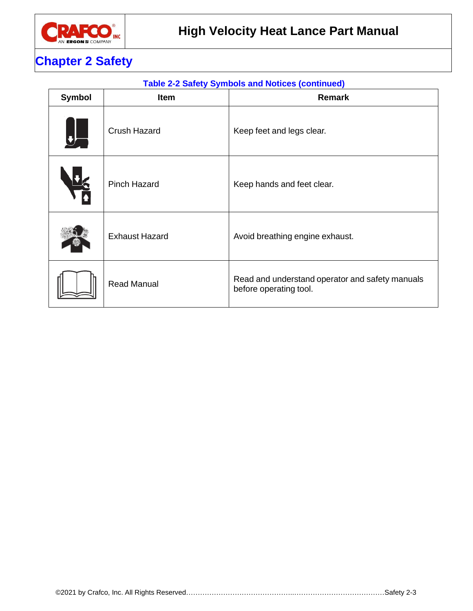

### **Chapter 2 Safety**

### <span id="page-10-0"></span>**Table 2-2 Safety Symbols and Notices (continued)**

| <b>Symbol</b> | Item                  | <b>Remark</b>                                                             |
|---------------|-----------------------|---------------------------------------------------------------------------|
| - 1           | <b>Crush Hazard</b>   | Keep feet and legs clear.                                                 |
|               | <b>Pinch Hazard</b>   | Keep hands and feet clear.                                                |
|               | <b>Exhaust Hazard</b> | Avoid breathing engine exhaust.                                           |
|               | <b>Read Manual</b>    | Read and understand operator and safety manuals<br>before operating tool. |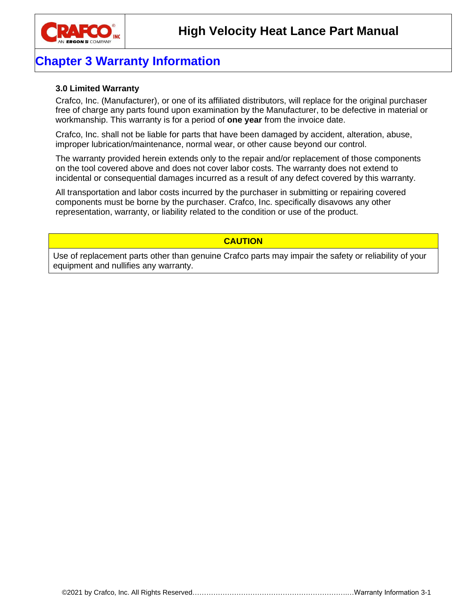

### **Chapter 3 Warranty Information**

#### <span id="page-12-0"></span>**3.0 Limited Warranty**

Crafco, Inc. (Manufacturer), or one of its affiliated distributors, will replace for the original purchaser free of charge any parts found upon examination by the Manufacturer, to be defective in material or workmanship. This warranty is for a period of **one year** from the invoice date.

Crafco, Inc. shall not be liable for parts that have been damaged by accident, alteration, abuse, improper lubrication/maintenance, normal wear, or other cause beyond our control.

The warranty provided herein extends only to the repair and/or replacement of those components on the tool covered above and does not cover labor costs. The warranty does not extend to incidental or consequential damages incurred as a result of any defect covered by this warranty.

All transportation and labor costs incurred by the purchaser in submitting or repairing covered components must be borne by the purchaser. Crafco, Inc. specifically disavows any other representation, warranty, or liability related to the condition or use of the product.

#### **CAUTION**

Use of replacement parts other than genuine Crafco parts may impair the safety or reliability of your equipment and nullifies any warranty.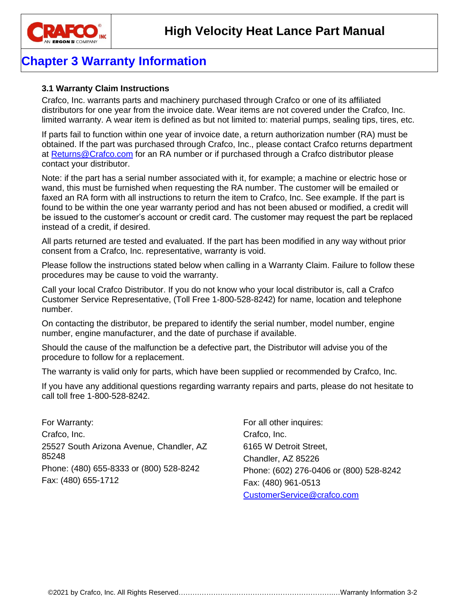

### **Chapter 3 Warranty Information**

### <span id="page-13-0"></span>**3.1 Warranty Claim Instructions**

Crafco, Inc. warrants parts and machinery purchased through Crafco or one of its affiliated distributors for one year from the invoice date. Wear items are not covered under the Crafco, Inc. limited warranty. A wear item is defined as but not limited to: material pumps, sealing tips, tires, etc.

If parts fail to function within one year of invoice date, a return authorization number (RA) must be obtained. If the part was purchased through Crafco, Inc., please contact Crafco returns department at [Returns@Crafco.com](mailto:Returns@Crafco.com) for an RA number or if purchased through a Crafco distributor please contact your distributor.

Note: if the part has a serial number associated with it, for example; a machine or electric hose or wand, this must be furnished when requesting the RA number. The customer will be emailed or faxed an RA form with all instructions to return the item to Crafco, Inc. See example. If the part is found to be within the one year warranty period and has not been abused or modified, a credit will be issued to the customer's account or credit card. The customer may request the part be replaced instead of a credit, if desired.

All parts returned are tested and evaluated. If the part has been modified in any way without prior consent from a Crafco, Inc. representative, warranty is void.

Please follow the instructions stated below when calling in a Warranty Claim. Failure to follow these procedures may be cause to void the warranty.

Call your local Crafco Distributor. If you do not know who your local distributor is, call a Crafco Customer Service Representative, (Toll Free 1-800-528-8242) for name, location and telephone number.

On contacting the distributor, be prepared to identify the serial number, model number, engine number, engine manufacturer, and the date of purchase if available.

Should the cause of the malfunction be a defective part, the Distributor will advise you of the procedure to follow for a replacement.

The warranty is valid only for parts, which have been supplied or recommended by Crafco, Inc.

If you have any additional questions regarding warranty repairs and parts, please do not hesitate to call toll free 1-800-528-8242.

For Warranty: Crafco, Inc. 25527 South Arizona Avenue, Chandler, AZ 85248 Phone: (480) 655-8333 or (800) 528-8242 Fax: (480) 655-1712

For all other inquires: Crafco, Inc. 6165 W Detroit Street, Chandler, AZ 85226 Phone: (602) 276-0406 or (800) 528-8242 Fax: (480) 961-0513 [CustomerService@crafco.com](mailto:CustomerService@crafco.com)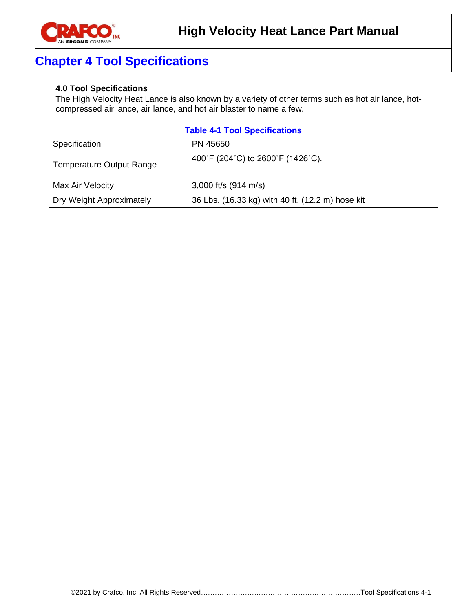

### **Chapter 4 Tool Specifications**

### <span id="page-14-0"></span>**4.0 Tool Specifications**

The High Velocity Heat Lance is also known by a variety of other terms such as hot air lance, hotcompressed air lance, air lance, and hot air blaster to name a few.

### <span id="page-14-1"></span>**Table 4-1 Tool Specifications**

| Specification                   | PN 45650                                         |
|---------------------------------|--------------------------------------------------|
| <b>Temperature Output Range</b> | 400°F (204°C) to 2600°F (1426°C).                |
| Max Air Velocity                | 3,000 ft/s $(914 \text{ m/s})$                   |
| Dry Weight Approximately        | 36 Lbs. (16.33 kg) with 40 ft. (12.2 m) hose kit |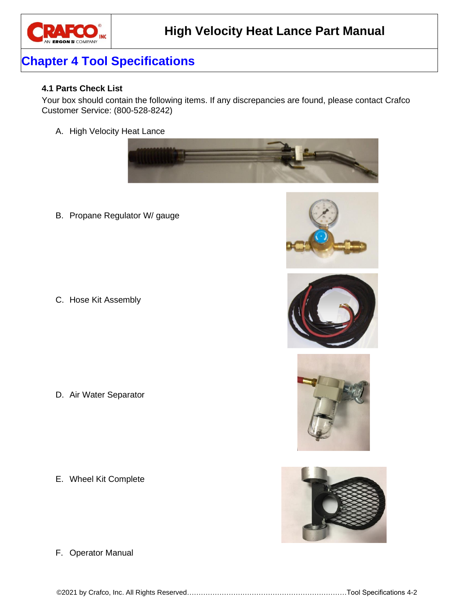

### **Chapter 4 Tool Specifications**

#### <span id="page-15-0"></span>**4.1 Parts Check List**

Your box should contain the following items. If any discrepancies are found, please contact Crafco Customer Service: (800-528-8242)

A. High Velocity Heat Lance



B. Propane Regulator W/ gauge

C. Hose Kit Assembly

D. Air Water Separator

E. Wheel Kit Complete



F. Operator Manual

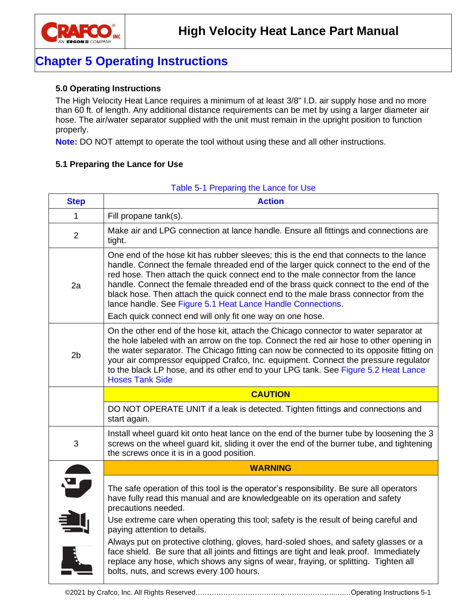

### **Chapter 5 Operating Instructions**

### <span id="page-16-0"></span>**5.0 Operating Instructions**

The High Velocity Heat Lance requires a minimum of at least 3/8" I.D. air supply hose and no more than 60 ft. of length. Any additional distance requirements can be met by using a larger diameter air hose. The air/water separator supplied with the unit must remain in the upright position to function properly.

**Note:** DO NOT attempt to operate the tool without using these and all other instructions.

#### <span id="page-16-1"></span>**5.1 Preparing the Lance for Use**

<span id="page-16-2"></span>

| Make air and LPG connection at lance handle. Ensure all fittings and connections are<br>One end of the hose kit has rubber sleeves; this is the end that connects to the lance<br>handle. Connect the female threaded end of the larger quick connect to the end of the<br>red hose. Then attach the quick connect end to the male connector from the lance<br>handle. Connect the female threaded end of the brass quick connect to the end of the<br>black hose. Then attach the quick connect end to the male brass connector from the |  |  |  |
|-------------------------------------------------------------------------------------------------------------------------------------------------------------------------------------------------------------------------------------------------------------------------------------------------------------------------------------------------------------------------------------------------------------------------------------------------------------------------------------------------------------------------------------------|--|--|--|
|                                                                                                                                                                                                                                                                                                                                                                                                                                                                                                                                           |  |  |  |
|                                                                                                                                                                                                                                                                                                                                                                                                                                                                                                                                           |  |  |  |
|                                                                                                                                                                                                                                                                                                                                                                                                                                                                                                                                           |  |  |  |
| On the other end of the hose kit, attach the Chicago connector to water separator at<br>the hole labeled with an arrow on the top. Connect the red air hose to other opening in<br>the water separator. The Chicago fitting can now be connected to its opposite fitting on<br>your air compressor equipped Crafco, Inc. equipment. Connect the pressure regulator<br>to the black LP hose, and its other end to your LPG tank. See Figure 5.2 Heat Lance<br><b>Hoses Tank Side</b>                                                       |  |  |  |
|                                                                                                                                                                                                                                                                                                                                                                                                                                                                                                                                           |  |  |  |
| DO NOT OPERATE UNIT if a leak is detected. Tighten fittings and connections and                                                                                                                                                                                                                                                                                                                                                                                                                                                           |  |  |  |
|                                                                                                                                                                                                                                                                                                                                                                                                                                                                                                                                           |  |  |  |
| Install wheel guard kit onto heat lance on the end of the burner tube by loosening the 3<br>screws on the wheel guard kit, sliding it over the end of the burner tube, and tightening                                                                                                                                                                                                                                                                                                                                                     |  |  |  |
|                                                                                                                                                                                                                                                                                                                                                                                                                                                                                                                                           |  |  |  |
|                                                                                                                                                                                                                                                                                                                                                                                                                                                                                                                                           |  |  |  |

#### Table 5-1 Preparing the Lance for Use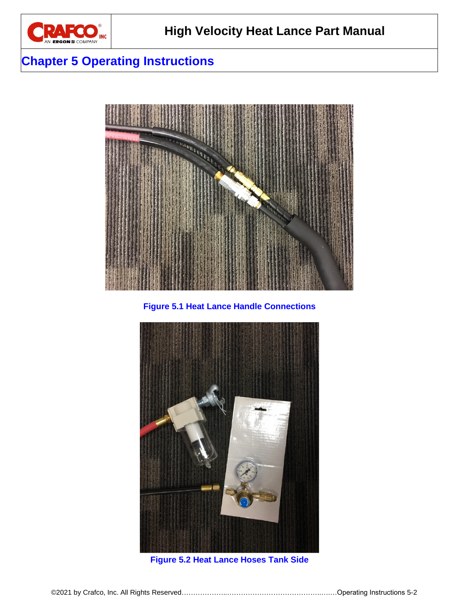

### **Chapter 5 Operating Instructions**



**Figure 5.1 Heat Lance Handle Connections**

<span id="page-17-1"></span><span id="page-17-0"></span>

**Figure 5.2 Heat Lance Hoses Tank Side**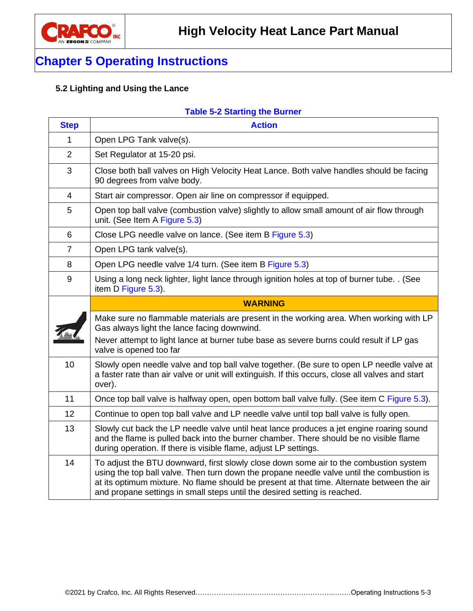

### **Chapter 5 Operating Instructions**

### <span id="page-18-0"></span>**5.2 Lighting and Using the Lance**

### <span id="page-18-1"></span>**Table 5-2 Starting the Burner**

| <b>Step</b>    | <b>Action</b>                                                                                                                                                                                                                                                                                                                                                 |
|----------------|---------------------------------------------------------------------------------------------------------------------------------------------------------------------------------------------------------------------------------------------------------------------------------------------------------------------------------------------------------------|
| $\mathbf{1}$   | Open LPG Tank valve(s).                                                                                                                                                                                                                                                                                                                                       |
| $\overline{2}$ | Set Regulator at 15-20 psi.                                                                                                                                                                                                                                                                                                                                   |
| 3              | Close both ball valves on High Velocity Heat Lance. Both valve handles should be facing<br>90 degrees from valve body.                                                                                                                                                                                                                                        |
| 4              | Start air compressor. Open air line on compressor if equipped.                                                                                                                                                                                                                                                                                                |
| 5              | Open top ball valve (combustion valve) slightly to allow small amount of air flow through<br>unit. (See Item A Figure 5.3)                                                                                                                                                                                                                                    |
| 6              | Close LPG needle valve on lance. (See item B Figure 5.3)                                                                                                                                                                                                                                                                                                      |
| $\overline{7}$ | Open LPG tank valve(s).                                                                                                                                                                                                                                                                                                                                       |
| 8              | Open LPG needle valve 1/4 turn. (See item B Figure 5.3)                                                                                                                                                                                                                                                                                                       |
| 9              | Using a long neck lighter, light lance through ignition holes at top of burner tube. . (See<br>item D Figure 5.3).                                                                                                                                                                                                                                            |
|                | <b>WARNING</b>                                                                                                                                                                                                                                                                                                                                                |
|                | Make sure no flammable materials are present in the working area. When working with LP<br>Gas always light the lance facing downwind.<br>Never attempt to light lance at burner tube base as severe burns could result if LP gas<br>valve is opened too far                                                                                                   |
| 10             | Slowly open needle valve and top ball valve together. (Be sure to open LP needle valve at<br>a faster rate than air valve or unit will extinguish. If this occurs, close all valves and start<br>over).                                                                                                                                                       |
| 11             | Once top ball valve is halfway open, open bottom ball valve fully. (See item C Figure 5.3).                                                                                                                                                                                                                                                                   |
| 12             | Continue to open top ball valve and LP needle valve until top ball valve is fully open.                                                                                                                                                                                                                                                                       |
| 13             | Slowly cut back the LP needle valve until heat lance produces a jet engine roaring sound<br>and the flame is pulled back into the burner chamber. There should be no visible flame<br>during operation. If there is visible flame, adjust LP settings.                                                                                                        |
| 14             | To adjust the BTU downward, first slowly close down some air to the combustion system<br>using the top ball valve. Then turn down the propane needle valve until the combustion is<br>at its optimum mixture. No flame should be present at that time. Alternate between the air<br>and propane settings in small steps until the desired setting is reached. |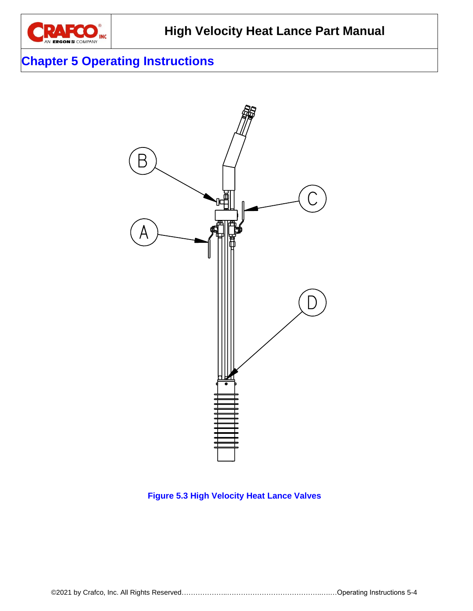

### **Chapter 5 Operating Instructions**



### <span id="page-19-0"></span>**Figure 5.3 High Velocity Heat Lance Valves**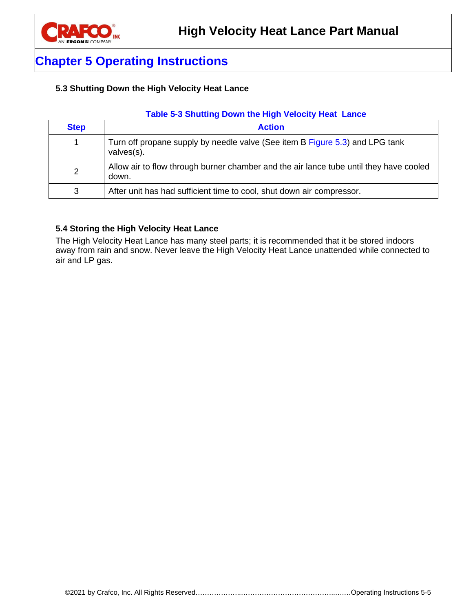

### **Chapter 5 Operating Instructions**

### <span id="page-20-0"></span>**5.3 Shutting Down the High Velocity Heat Lance**

### <span id="page-20-2"></span>**Table 5-3 Shutting Down the High Velocity Heat Lance**

| <b>Step</b> | <b>Action</b>                                                                                   |
|-------------|-------------------------------------------------------------------------------------------------|
|             | Turn off propane supply by needle valve (See item B Figure 5.3) and LPG tank<br>$values(s)$ .   |
| 2           | Allow air to flow through burner chamber and the air lance tube until they have cooled<br>down. |
| 3           | After unit has had sufficient time to cool, shut down air compressor.                           |

#### <span id="page-20-1"></span>**5.4 Storing the High Velocity Heat Lance**

The High Velocity Heat Lance has many steel parts; it is recommended that it be stored indoors away from rain and snow. Never leave the High Velocity Heat Lance unattended while connected to air and LP gas.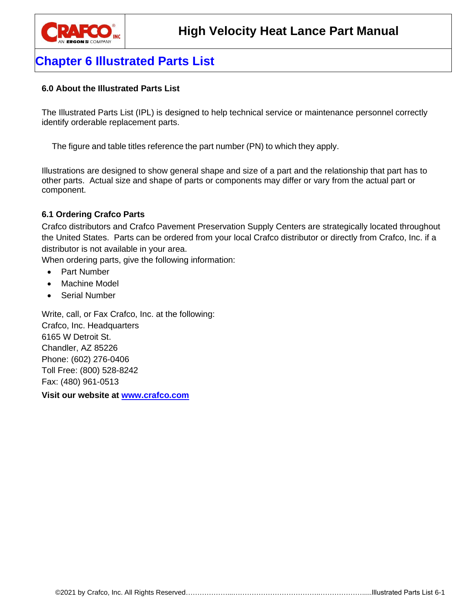

### **Chapter 6 Illustrated Parts List**

### <span id="page-22-0"></span>**6.0 About the Illustrated Parts List**

The Illustrated Parts List (IPL) is designed to help technical service or maintenance personnel correctly identify orderable replacement parts.

The figure and table titles reference the part number (PN) to which they apply.

Illustrations are designed to show general shape and size of a part and the relationship that part has to other parts. Actual size and shape of parts or components may differ or vary from the actual part or component.

### <span id="page-22-1"></span>**6.1 Ordering Crafco Parts**

Crafco distributors and Crafco Pavement Preservation Supply Centers are strategically located throughout the United States. Parts can be ordered from your local Crafco distributor or directly from Crafco, Inc. if a distributor is not available in your area.

When ordering parts, give the following information:

- Part Number
- Machine Model
- Serial Number

Write, call, or Fax Crafco, Inc. at the following: Crafco, Inc. Headquarters 6165 W Detroit St. Chandler, AZ 85226 Phone: (602) 276-0406 Toll Free: (800) 528-8242 Fax: (480) 961-0513

**Visit our website at [www.crafco.com](file:///C:/Users/DLT/AppData/Roaming/Microsoft/Word/www.crafco.com)**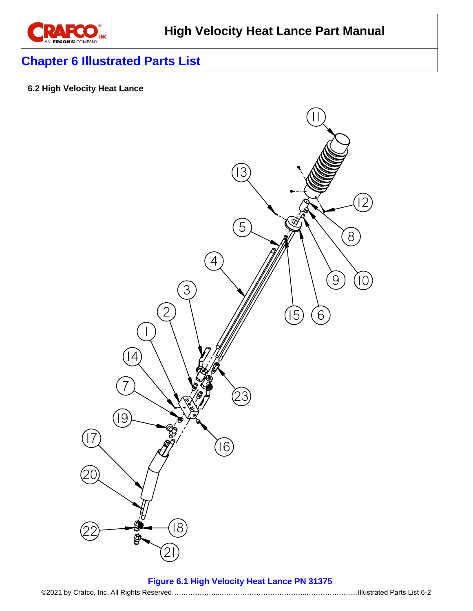

### **Chapter 6 Illustrated Parts List**

### <span id="page-23-0"></span>**6.2 High Velocity Heat Lance**



#### <span id="page-23-1"></span>**Figure 6.1 High Velocity Heat Lance PN 31375**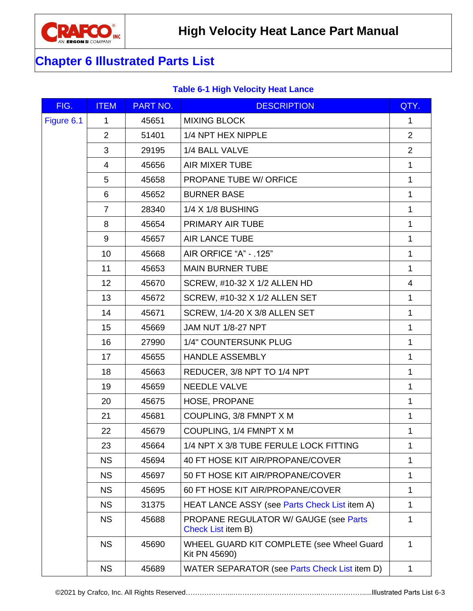

## **Chapter 6 Illustrated Parts List**

### <span id="page-24-0"></span>**Table 6-1 High Velocity Heat Lance**

| FIG.       | <b>ITEM</b>    | <b>PART NO.</b> | <b>DESCRIPTION</b>                                                 | QTY.           |
|------------|----------------|-----------------|--------------------------------------------------------------------|----------------|
| Figure 6.1 | 1              | 45651           | <b>MIXING BLOCK</b>                                                | $\mathbf{1}$   |
|            | 2              | 51401           | 1/4 NPT HEX NIPPLE                                                 | $\overline{2}$ |
|            | 3              | 29195           | 1/4 BALL VALVE                                                     | $\overline{2}$ |
|            | 4              | 45656           | <b>AIR MIXER TUBE</b>                                              | $\mathbf{1}$   |
|            | 5              | 45658           | PROPANE TUBE W/ ORFICE                                             | $\mathbf{1}$   |
|            | 6              | 45652           | <b>BURNER BASE</b>                                                 | $\mathbf{1}$   |
|            | $\overline{7}$ | 28340           | 1/4 X 1/8 BUSHING                                                  | $\mathbf{1}$   |
|            | 8              | 45654           | PRIMARY AIR TUBE                                                   | $\mathbf{1}$   |
|            | 9              | 45657           | <b>AIR LANCE TUBE</b>                                              | $\mathbf{1}$   |
|            | 10             | 45668           | AIR ORFICE "A" - .125"                                             | $\mathbf{1}$   |
|            | 11             | 45653           | <b>MAIN BURNER TUBE</b>                                            | $\mathbf{1}$   |
|            | 12             | 45670           | SCREW, #10-32 X 1/2 ALLEN HD                                       | 4              |
|            | 13             | 45672           | SCREW, #10-32 X 1/2 ALLEN SET                                      | $\mathbf{1}$   |
|            | 14             | 45671           | SCREW, 1/4-20 X 3/8 ALLEN SET                                      | $\mathbf{1}$   |
|            | 15             | 45669           | JAM NUT 1/8-27 NPT                                                 | 1              |
|            | 16             | 27990           | 1/4" COUNTERSUNK PLUG                                              | $\mathbf{1}$   |
|            | 17             | 45655           | <b>HANDLE ASSEMBLY</b>                                             | $\mathbf{1}$   |
|            | 18             | 45663           | REDUCER, 3/8 NPT TO 1/4 NPT                                        | $\mathbf{1}$   |
|            | 19             | 45659           | <b>NEEDLE VALVE</b>                                                | $\mathbf{1}$   |
|            | 20             | 45675           | HOSE, PROPANE                                                      | 1              |
|            | 21             | 45681           | COUPLING, 3/8 FMNPT X M                                            | $\mathbf{1}$   |
|            | 22             | 45679           | COUPLING, 1/4 FMNPT X M                                            | $\mathbf 1$    |
|            | 23             | 45664           | 1/4 NPT X 3/8 TUBE FERULE LOCK FITTING                             | 1              |
|            | <b>NS</b>      | 45694           | 40 FT HOSE KIT AIR/PROPANE/COVER                                   | 1              |
|            | <b>NS</b>      | 45697           | 50 FT HOSE KIT AIR/PROPANE/COVER                                   | 1              |
|            | <b>NS</b>      | 45695           | 60 FT HOSE KIT AIR/PROPANE/COVER                                   | 1              |
|            | <b>NS</b>      | 31375           | HEAT LANCE ASSY (see Parts Check List item A)                      | $\mathbf{1}$   |
|            | <b>NS</b>      | 45688           | PROPANE REGULATOR W/ GAUGE (see Parts<br><b>Check List item B)</b> | 1              |
|            | <b>NS</b>      | 45690           | WHEEL GUARD KIT COMPLETE (see Wheel Guard<br>Kit PN 45690)         | 1              |
|            | <b>NS</b>      | 45689           | WATER SEPARATOR (see Parts Check List item D)                      | $\mathbf{1}$   |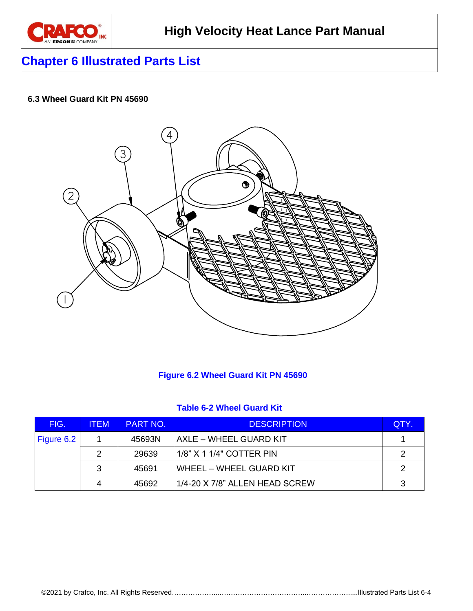

### **Chapter 6 Illustrated Parts List**

### <span id="page-25-0"></span>**6.3 Wheel Guard Kit PN 45690**



### <span id="page-25-1"></span>**Figure 6.2 Wheel Guard Kit PN 45690**

#### <span id="page-25-2"></span>**Table 6-2 Wheel Guard Kit**

| FIG.       | <b>ITEM</b> | <b>PART NO.</b> | <b>DESCRIPTION</b>             | QTY. |
|------------|-------------|-----------------|--------------------------------|------|
| Figure 6.2 |             | 45693N          | AXLE - WHEEL GUARD KIT         |      |
|            |             | 29639           | 1/8" X 1 1/4" COTTER PIN       |      |
|            | 3           | 45691           | WHEEL - WHEEL GUARD KIT        | ົ    |
|            |             | 45692           | 1/4-20 X 7/8" ALLEN HEAD SCREW | ◠    |